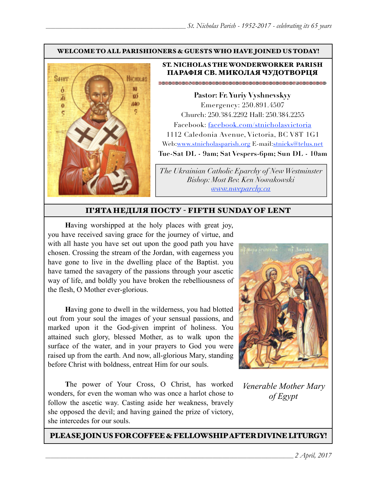#### WELCOME TO ALL PARISHIONERS & GUESTS WHO HAVE JOINED US TODAY!



#### ST. NICHOLAS THE WONDERWORKER PARISH ПАРАФІЯ СВ. МИКОЛАЯ ЧУДОТВОРЦЯ

**Pastor: Fr. Yuriy Vyshnevskyy** Emergency: 250.891.4507 Church: 250.384.2292 Hall: 250.384.2255 Facebook: facebook.com/stnicholasvictoria 1112 Caledonia Avenue, Victoria, BC V8T 1G1 Web[:www.stnicholasparish.org](http://www.stnicholasparish.org) E-mail:[stnicks@telus.net](mailto:stnicks@telus.net) **Tue-Sat DL - 9am; Sat Vespers-6pm; Sun DL - 10am**

*The Ukrainian Catholic Eparchy of New Westminster Bishop: Most Rev. Ken Nowakowski [www.nweparchy.ca](http://www.nweparchy.ca)*

#### П'ЯТАНЕДІЛЯ ПОСТУ - FIFTH SUNDAY OF LENT

**H**aving worshipped at the holy places with great joy, you have received saving grace for the journey of virtue, and with all haste you have set out upon the good path you have chosen. Crossing the stream of the Jordan, with eagerness you have gone to live in the dwelling place of the Baptist. you have tamed the savagery of the passions through your ascetic way of life, and boldly you have broken the rebelliousness of the flesh, O Mother ever-glorious.

**H**aving gone to dwell in the wilderness, you had blotted out from your soul the images of your sensual passions, and marked upon it the God-given imprint of holiness. You attained such glory, blessed Mother, as to walk upon the surface of the water, and in your prayers to God you were raised up from the earth. And now, all-glorious Mary, standing before Christ with boldness, entreat Him for our souls.

**T**he power of Your Cross, O Christ, has worked wonders, for even the woman who was once a harlot chose to follow the ascetic way. Casting aside her weakness, bravely she opposed the devil; and having gained the prize of victory, she intercedes for our souls.



*Venerable Mother Mary of Egypt*

PLEASE JOIN US FOR COFFEE & FELLOWSHIP AFTER DIVINE LITURGY!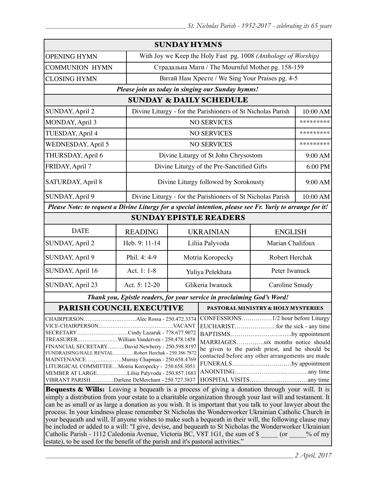| <b>SUNDAY HYMNS</b>                                                                                                                                                                                                                                                                                                                                                                                                                                                                                                                                                                                                                           |                                                 |                                                                |                                               |                                    |                |  |
|-----------------------------------------------------------------------------------------------------------------------------------------------------------------------------------------------------------------------------------------------------------------------------------------------------------------------------------------------------------------------------------------------------------------------------------------------------------------------------------------------------------------------------------------------------------------------------------------------------------------------------------------------|-------------------------------------------------|----------------------------------------------------------------|-----------------------------------------------|------------------------------------|----------------|--|
| <b>OPENING HYMN</b>                                                                                                                                                                                                                                                                                                                                                                                                                                                                                                                                                                                                                           |                                                 | With Joy we Keep the Holy Fast pg. 1008 (Anthology of Worship) |                                               |                                    |                |  |
| <b>COMMUNION HYMN</b>                                                                                                                                                                                                                                                                                                                                                                                                                                                                                                                                                                                                                         |                                                 | Страдальна Мати / The Mournful Mother pg. 158-159              |                                               |                                    |                |  |
| <b>CLOSING HYMN</b>                                                                                                                                                                                                                                                                                                                                                                                                                                                                                                                                                                                                                           | Витай Нам Хресте / We Sing Your Praises pg. 4-5 |                                                                |                                               |                                    |                |  |
| Please join us today in singing our Sunday hymns!                                                                                                                                                                                                                                                                                                                                                                                                                                                                                                                                                                                             |                                                 |                                                                |                                               |                                    |                |  |
| <b>SUNDAY &amp; DAILY SCHEDULE</b>                                                                                                                                                                                                                                                                                                                                                                                                                                                                                                                                                                                                            |                                                 |                                                                |                                               |                                    |                |  |
| SUNDAY, April 2                                                                                                                                                                                                                                                                                                                                                                                                                                                                                                                                                                                                                               |                                                 | Divine Liturgy - for the Parishioners of St Nicholas Parish    |                                               |                                    | 10:00 AM       |  |
| MONDAY, April 3                                                                                                                                                                                                                                                                                                                                                                                                                                                                                                                                                                                                                               |                                                 | <b>NO SERVICES</b>                                             |                                               |                                    | *********      |  |
| TUESDAY, April 4                                                                                                                                                                                                                                                                                                                                                                                                                                                                                                                                                                                                                              |                                                 |                                                                | <b>NO SERVICES</b>                            |                                    | *********      |  |
| <b>WEDNESDAY, April 5</b>                                                                                                                                                                                                                                                                                                                                                                                                                                                                                                                                                                                                                     |                                                 |                                                                | <b>NO SERVICES</b>                            |                                    | *********      |  |
| THURSDAY, April 6                                                                                                                                                                                                                                                                                                                                                                                                                                                                                                                                                                                                                             |                                                 |                                                                | Divine Liturgy of St John Chrysostom          |                                    | 9:00 AM        |  |
| FRIDAY, April 7                                                                                                                                                                                                                                                                                                                                                                                                                                                                                                                                                                                                                               |                                                 |                                                                | Divine Liturgy of the Pre-Sanctified Gifts    |                                    | 6:00 PM        |  |
| SATURDAY, April 8                                                                                                                                                                                                                                                                                                                                                                                                                                                                                                                                                                                                                             |                                                 | Divine Liturgy followed by Sorokousty                          |                                               |                                    | 9:00 AM        |  |
| SUNDAY, April 9                                                                                                                                                                                                                                                                                                                                                                                                                                                                                                                                                                                                                               |                                                 | Divine Liturgy - for the Parishioners of St Nicholas Parish    |                                               |                                    | 10:00 AM       |  |
| Please Note: to request a Divine Liturgy for a special intention, please see Fr. Yuriy to arrange for it!                                                                                                                                                                                                                                                                                                                                                                                                                                                                                                                                     |                                                 |                                                                |                                               |                                    |                |  |
| <b>SUNDAY EPISTLE READERS</b>                                                                                                                                                                                                                                                                                                                                                                                                                                                                                                                                                                                                                 |                                                 |                                                                |                                               |                                    |                |  |
| <b>DATE</b>                                                                                                                                                                                                                                                                                                                                                                                                                                                                                                                                                                                                                                   | <b>READING</b>                                  |                                                                |                                               | <b>UKRAINIAN</b><br><b>ENGLISH</b> |                |  |
| SUNDAY, April 2                                                                                                                                                                                                                                                                                                                                                                                                                                                                                                                                                                                                                               | Heb. 9: 11-14                                   |                                                                | Liliia Palyvoda<br>Marian Chalifoux           |                                    |                |  |
| SUNDAY, April 9                                                                                                                                                                                                                                                                                                                                                                                                                                                                                                                                                                                                                               | Phil. 4: 4-9                                    | Motria Koropecky                                               |                                               | Robert Herchak                     |                |  |
| SUNDAY, April 16                                                                                                                                                                                                                                                                                                                                                                                                                                                                                                                                                                                                                              | Act. 1: 1-8                                     | Yuliya Pelekhata                                               |                                               | Peter Iwanuck                      |                |  |
| SUNDAY, April 23                                                                                                                                                                                                                                                                                                                                                                                                                                                                                                                                                                                                                              | Act. 5: 12-20                                   | Glikeria Iwanuck                                               |                                               |                                    | Caroline Smudy |  |
| Thank you, Epistle readers, for your service in proclaiming God's Word!                                                                                                                                                                                                                                                                                                                                                                                                                                                                                                                                                                       |                                                 |                                                                |                                               |                                    |                |  |
| <b>PARISH COUNCIL EXECUTIVE</b>                                                                                                                                                                                                                                                                                                                                                                                                                                                                                                                                                                                                               |                                                 |                                                                | <b>PASTORAL MINISTRY &amp; HOLY MYSTERIES</b> |                                    |                |  |
| CHAIRPERSONAlec Rossa - 250.472.3374<br>SECRETARYCindy Lazaruk - 778.677.9072<br>BAPTISMSby appointment<br>TREASURERWilliam Vanderven - 250.478.1458<br>MARRIAGESsix months notice should<br>FINANCIAL SECRETARYDavid Newberry - 250.598.8197<br>be given to the parish priest, and he should be<br>FUNDRAISING/HALL RENTALRobert Herchak - 250.386.7872<br>contacted before any other arrangements are made<br>MAINTENANCEMurray Chapman - 250.658.4769<br>FUNERALSby appointment<br>LITURGICAL COMMITTEEMotria Koropecky - 250.658.3051<br>MEMBER AT LARGELiliia Palyvoda - 250.857.1683<br>VIBRANT PARISHDarlene DeMerchant - 250.727.3837 |                                                 |                                                                |                                               |                                    |                |  |
| <b>Bequests &amp; Wills:</b> Leaving a bequeath is a process of giving a donation through your will. It is                                                                                                                                                                                                                                                                                                                                                                                                                                                                                                                                    |                                                 |                                                                |                                               |                                    |                |  |

simply a distribution from your estate to a charitable organization through your last will and testament. It can be as small or as large a donation as you wish. It is important that you talk to your lawyer about the process. In your kindness please remember St Nicholas the Wonderworker Ukrainian Catholic Church in your bequeath and will. If anyone wishes to make such a bequeath in their will, the following clause may be included or added to a will: "I give, devise, and bequeath to St Nicholas the Wonderworker Ukrainian Catholic Parish - 1112 Caledonia Avenue, Victoria BC, V8T 1G1, the sum of \$  $\qquad \qquad$  (or  $\qquad \qquad$  % of my estate), to be used for the benefit of the parish and it's pastoral activities."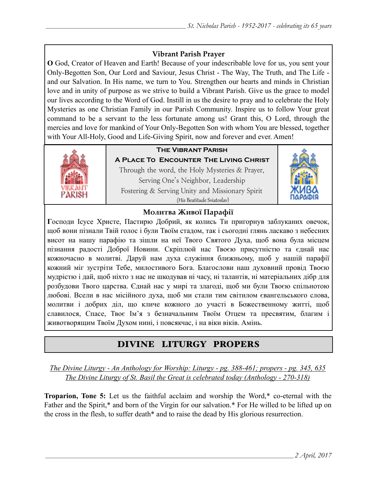### **Vibrant Parish Prayer**

**O** God, Creator of Heaven and Earth! Because of your indescribable love for us, you sent your Only-Begotten Son, Our Lord and Saviour, Jesus Christ - The Way, The Truth, and The Life and our Salvation. In His name, we turn to You. Strengthen our hearts and minds in Christian love and in unity of purpose as we strive to build a Vibrant Parish. Give us the grace to model our lives according to the Word of God. Instill in us the desire to pray and to celebrate the Holy Mysteries as one Christian Family in our Parish Community. Inspire us to follow Your great command to be a servant to the less fortunate among us! Grant this, O Lord, through the mercies and love for mankind of Your Only-Begotten Son with whom You are blessed, together with Your All-Holy, Good and Life-Giving Spirit, now and forever and ever. Amen!



### **The Vibrant Parish**

**A Place To Encounter The Living Christ** Through the word, the Holy Mysteries & Prayer, Serving One's Neighbor, Leadership Fostering & Serving Unity and Missionary Spirit (His Beatitude Sviatoslav)



#### **Молитва Живої Парафії**

**Г**осподи Ісусе Христе, Пастирю Добрий, як колись Ти пригорнув заблуканих овечок, щоб вони пізнали Твій голос і були Твоїм стадом, так і сьогодні глянь ласкаво з небесних висот на нашу парафію та зішли на неї Твого Святого Духа, щоб вона була місцем пізнання радості Доброї Новини. Скріплюй нас Твоєю присутністю та єднай нас кожночасно в молитві. Даруй нам духа служіння ближньому, щоб у нашій парафії кожний міг зустріти Тебе, милостивого Бога. Благослови наш духовний провід Твоєю мудрістю і дай, щоб ніхто з нас не шкодував ні часу, ні талантів, ні матеріальних дібр для розбудови Твого царства. Єднай нас у мирі та злагоді, щоб ми були Твоєю спільнотою любові. Всели в нас місійного духа, щоб ми стали тим світилом євангельського слова, молитви і добрих діл, що кличе кожного до участі в Божественному житті, щоб славилося, Спасе, Твоє Ім'я з безначальним Твоїм Отцем та пресвятим, благим і животворящим Твоїм Духом нині, і повсякчас, і на віки віків. Амінь.

## DIVINE LITURGY PROPERS

*The Divine Liturgy - An Anthology for Worship: Liturgy - pg. 388-461; propers - pg. 345, 635 The Divine Liturgy of St. Basil the Great is celebrated today (Anthology - 270-318)* 

**Troparion, Tone 5:** Let us the faithful acclaim and worship the Word,\* co-eternal with the Father and the Spirit,\* and born of the Virgin for our salvation.\* For He willed to be lifted up on the cross in the flesh, to suffer death\* and to raise the dead by His glorious resurrection.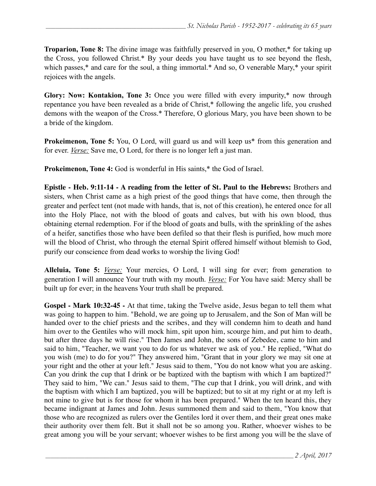**Troparion, Tone 8:** The divine image was faithfully preserved in you, O mother,\* for taking up the Cross, you followed Christ.\* By your deeds you have taught us to see beyond the flesh, which passes,<sup>\*</sup> and care for the soul, a thing immortal.<sup>\*</sup> And so, O venerable Mary,<sup>\*</sup> your spirit rejoices with the angels.

**Glory: Now: Kontakion, Tone 3:** Once you were filled with every impurity,\* now through repentance you have been revealed as a bride of Christ,\* following the angelic life, you crushed demons with the weapon of the Cross.\* Therefore, O glorious Mary, you have been shown to be a bride of the kingdom.

**Prokeimenon, Tone 5:** You, O Lord, will guard us and will keep us<sup>\*</sup> from this generation and for ever. *Verse:* Save me, O Lord, for there is no longer left a just man.

**Prokeimenon, Tone 4:** God is wonderful in His saints,\* the God of Israel.

**Epistle - Heb. 9:11-14 - A reading from the letter of St. Paul to the Hebrews:** Brothers and sisters, when Christ came as a high priest of the good things that have come, then through the greater and perfect tent (not made with hands, that is, not of this creation), he entered once for all into the Holy Place, not with the blood of goats and calves, but with his own blood, thus obtaining eternal redemption. For if the blood of goats and bulls, with the sprinkling of the ashes of a heifer, sanctifies those who have been defiled so that their flesh is purified, how much more will the blood of Christ, who through the eternal Spirit offered himself without blemish to God, purify our conscience from dead works to worship the living God!

**Alleluia, Tone 5:** *Verse:* Your mercies, O Lord, I will sing for ever; from generation to generation I will announce Your truth with my mouth. *Verse:* For You have said: Mercy shall be built up for ever; in the heavens Your truth shall be prepared.

**Gospel - Mark 10:32-45 -** At that time, taking the Twelve aside, Jesus began to tell them what was going to happen to him. "Behold, we are going up to Jerusalem, and the Son of Man will be handed over to the chief priests and the scribes, and they will condemn him to death and hand him over to the Gentiles who will mock him, spit upon him, scourge him, and put him to death, but after three days he will rise." Then James and John, the sons of Zebedee, came to him and said to him, "Teacher, we want you to do for us whatever we ask of you." He replied, "What do you wish (me) to do for you?" They answered him, "Grant that in your glory we may sit one at your right and the other at your left." Jesus said to them, "You do not know what you are asking. Can you drink the cup that I drink or be baptized with the baptism with which I am baptized?" They said to him, "We can." Jesus said to them, "The cup that I drink, you will drink, and with the baptism with which I am baptized, you will be baptized; but to sit at my right or at my left is not mine to give but is for those for whom it has been prepared." When the ten heard this, they became indignant at James and John. Jesus summoned them and said to them, "You know that those who are recognized as rulers over the Gentiles lord it over them, and their great ones make their authority over them felt. But it shall not be so among you. Rather, whoever wishes to be great among you will be your servant; whoever wishes to be first among you will be the slave of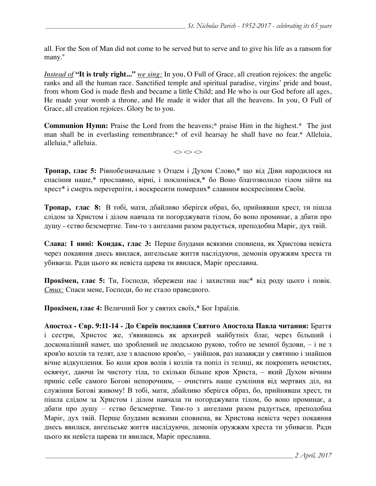all. For the Son of Man did not come to be served but to serve and to give his life as a ransom for many."

*Instead of* **"It is truly right..."** *we sing:* In you, O Full of Grace, all creation rejoices: the angelic ranks and all the human race. Sanctified temple and spiritual paradise, virgins' pride and boast, from whom God is made flesh and became a little Child; and He who is our God before all ages, He made your womb a throne, and He made it wider that all the heavens. In you, O Full of Grace, all creation rejoices. Glory be to you.

**Communion Hymn:** Praise the Lord from the heavens;\* praise Him in the highest.\* The just man shall be in everlasting remembrance;\* of evil hearsay he shall have no fear.\* Alleluia, alleluia,\* alleluia.

 $\Leftrightarrow$   $\Leftrightarrow$   $\Leftrightarrow$ 

**Тропар, глас 5:** Рівнобезначальне з Отцем і Духом Слово,\* що від Діви народилося на спасіння наше,\* прославмо, вірні, і поклонімся,\* бо Воно благозволило тілом зійти на хрест\* і смерть перетерпіти, і воскресити померлих\* славним воскресінням Своїм.

**Тропар, глас 8:** В тобі, мати, дбайливо зберігся образ, бо, прийнявши хрест, ти пішла слідом за Христом і ділом навчала ти погорджувати тілом, бо воно проминає, а дбати про душу - єство безсмертне. Тим-то з ангелами разом радується, преподобна Маріє, дух твій.

**Слава: І нині: Кондак, глас 3:** Перше блудами всякими сповнена, як Христова невіста через покаяння днесь явилася, ангельське життя наслідуючи, демонів оружжям хреста ти убиваєш. Ради цього як невіста царева ти явилася, Маріє преславна.

**Прокімен, глас 5:** Ти, Господи, збережеш нас і захистиш нас\* від роду цього і повік. *Стих:* Спаси мене, Господи, бо не стало праведного.

**Прокімен, глас 4:** Величний Бог у святих своїх,\* Бог Ізраїлів.

**Апостол - Євр. 9:11-14 - До Євреїв послання Святого Апостола Павла читання:** Браття і сестри, Христос же, з'явившись як архиєрей майбутніх благ, через більший і досконаліший намет, що зроблений не людською рукою, тобто не земної будови, – і не з кров'ю козлів та телят, але з власною кров'ю, – увійшов, раз назавжди у святиню і знайшов вічне відкуплення. Бо коли кров волів і козлів та попіл із телиці, як покропить нечистих, освячує, даючи їм чистоту тіла, то скільки більше кров Христа, – який Духом вічним приніс себе самого Богові непорочним, – очистить наше сумління від мертвих діл, на служіння Богові живому! В тобі, мати, дбайливо зберігся образ, бо, прийнявши хрест, ти пішла слідом за Христом і ділом навчала ти погорджувати тілом, бо воно проминає, а дбати про душу – єство безсмертне. Тим-то з ангелами разом радується, преподобна Маріє, дух твій. Перше блудами всякими сповнена, як Христова невіста через покаяння днесь явилася, ангельське життя наслідуючи, демонів оружжям хреста ти убиваєш. Ради цього як невїста царева ти явилася, Маріє преславна.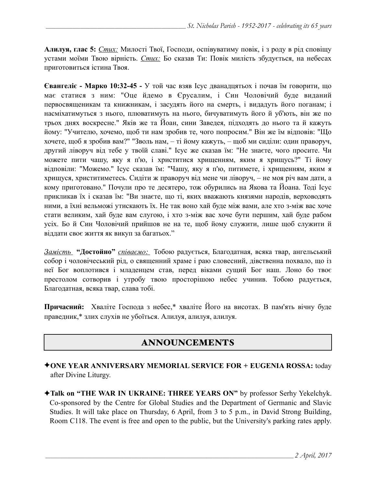**Алилуя, глас 5:** *Стих:* Милості Твої, Господи, оспівуватиму повік, і з роду в рід сповіщу устами моїми Твою вірність. *Стих:* Бо сказав Ти: Повік милість збудується, на небесах приготовиться істина Твоя.

**Євангеліє - Марко 10:32-45 -** У той час взяв Ісус дванадцятьох і почав їм говорити, що має статися з ним: "Оце йдемо в Єрусалим, і Син Чоловічий буде виданий первосвященикам та книжникам, і засудять його на смерть, і видадуть його поганам; і насміхатимуться з нього, плюватимуть на нього, бичуватимуть його й уб'ють, він же по трьох днях воскресне." Яків же та Йоан, сини Заведея, підходять до нього та й кажуть йому: "Учителю, хочемо, щоб ти нам зробив те, чого попросим." Він же їм відповів: "Що хочете, щоб я зробив вам?" "Зволь нам, – ті йому кажуть, – щоб ми сиділи: один праворуч, другий ліворуч від тебе у твоїй славі." Ісус же сказав їм: "Не знаєте, чого просите. Чи можете пити чашу, яку я п'ю, і христитися хрищенням, яким я хрищусь?" Ті йому відповіли: "Можемо." Ісус сказав їм: "Чашу, яку я п'ю, питимете, і хрищенням, яким я хрищуся, христитиметесь. Сидіти ж праворуч від мене чи ліворуч, – не моя річ вам дати, а кому приготовано." Почули про те десятеро, тож обурились на Якова та Йоана. Тоді Ісус прикликав їх і сказав їм: "Ви знаєте, що ті, яких вважають князями народів, верховодять ними, а їхні вельможі утискають їх. Не так воно хай буде між вами, але хто з-між вас хоче стати великим, хай буде вам слугою, і хто з-між вас хоче бути першим, хай буде рабом усіх. Бо й Син Чоловічий прийшов не на те, щоб йому служити, лише щоб служити й віддати своє життя як викуп за багатьох."

*Замість* **"Достойно"** *співаємо:* Тобою радується, Благодатная, всяка твар, ангельський собор і чоловічеський рід, о священний храме і раю словесний, дівственна похвало, що із неї Бог воплотився і младенцем став, перед віками сущий Бог наш. Лоно бо твоє престолом сотворив і утробу твою просторішою небес учинив. Тобою радується, Благодатная, всяка твар, слава тобі.

**Причасний:** Хваліте Господа з небес,\* хваліте Його на висотах. В пам'ять вічну буде праведник,\* злих слухів не убоїться. Алилуя, алилуя, алилуя.

## ANNOUNCEMENTS

- ✦**ONE YEAR ANNIVERSARY MEMORIAL SERVICE FOR + EUGENIA ROSSA:** today after Divine Liturgy.
- ✦**Talk on "THE WAR IN UKRAINE: THREE YEARS ON"** by professor Serhy Yekelchyk. Co-sponsored by the Centre for Global Studies and the Department of Germanic and Slavic Studies. It will take place on Thursday, 6 April, from 3 to 5 p.m., in David Strong Building, Room C118. The event is free and open to the public, but the University's parking rates apply.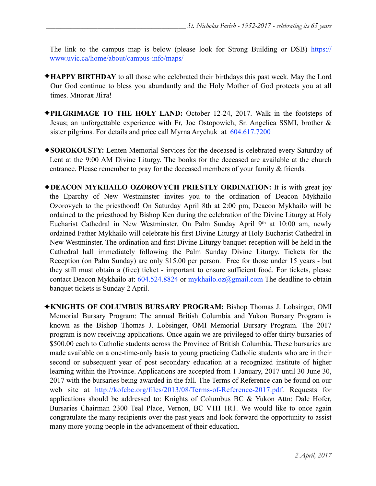[The link to the campus map is below \(please look for Strong Building or DSB\) https://](https://www.uvic.ca/home/about/campus-info/maps/) www.uvic.ca/home/about/campus-info/maps/

- ✦**HAPPY BIRTHDAY** to all those who celebrated their birthdays this past week. May the Lord Our God continue to bless you abundantly and the Holy Mother of God protects you at all times. Многая Літа!
- ✦**PILGRIMAGE TO THE HOLY LAND:** October 12-24, 2017. Walk in the footsteps of Jesus; an unforgettable experience with Fr, Joe Ostopowich, Sr. Angelica SSMI, brother & sister pilgrims. For details and price call Myrna Arychuk at 604.617.7200
- ✦**SOROKOUSTY:** Lenten Memorial Services for the deceased is celebrated every Saturday of Lent at the 9:00 AM Divine Liturgy. The books for the deceased are available at the church entrance. Please remember to pray for the deceased members of your family & friends.
- ✦**DEACON MYKHAILO OZOROVYCH PRIESTLY ORDINATION:** It is with great joy the Eparchy of New Westminster invites you to the ordination of Deacon Mykhailo Ozorovych to the priesthood! On Saturday April 8th at 2:00 pm, Deacon Mykhailo will be ordained to the priesthood by Bishop Ken during the celebration of the Divine Liturgy at Holy Eucharist Cathedral in New Westminster. On Palm Sunday April 9<sup>th</sup> at 10:00 am, newly ordained Father Mykhailo will celebrate his first Divine Liturgy at Holy Eucharist Cathedral in New Westminster. The ordination and first Divine Liturgy banquet-reception will be held in the Cathedral hall immediately following the Palm Sunday Divine Liturgy. Tickets for the Reception (on Palm Sunday) are only \$15.00 per person. Free for those under 15 years - but they still must obtain a (free) ticket - important to ensure sufficient food. For tickets, please contact Deacon Mykhailo at: 604.524.8824 or [mykhailo.oz@gmail.com](mailto:mykhailo.oz@gmail.com) The deadline to obtain banquet tickets is Sunday 2 April.
- ✦**KNIGHTS OF COLUMBUS BURSARY PROGRAM:** Bishop Thomas J. Lobsinger, OMI Memorial Bursary Program: The annual British Columbia and Yukon Bursary Program is known as the Bishop Thomas J. Lobsinger, OMI Memorial Bursary Program. The 2017 program is now receiving applications. Once again we are privileged to offer thirty bursaries of \$500.00 each to Catholic students across the Province of British Columbia. These bursaries are made available on a one-time-only basis to young practicing Catholic students who are in their second or subsequent year of post secondary education at a recognized institute of higher learning within the Province. Applications are accepted from 1 January, 2017 until 30 June 30, 2017 with the bursaries being awarded in the fall. The Terms of Reference can be found on our web site at http://kofcbc.org/files/2013/08/Terms-of-Reference-2017.pdf. Requests for applications should be addressed to: Knights of Columbus BC & Yukon Attn: Dale Hofer, Bursaries Chairman 2300 Teal Place, Vernon, BC V1H 1R1. We would like to once again congratulate the many recipients over the past years and look forward the opportunity to assist many more young people in the advancement of their education.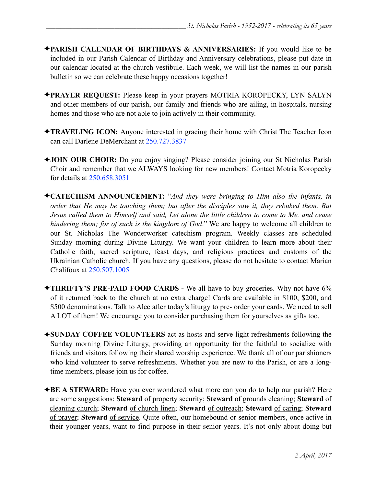- ✦**PARISH CALENDAR OF BIRTHDAYS & ANNIVERSARIES:** If you would like to be included in our Parish Calendar of Birthday and Anniversary celebrations, please put date in our calendar located at the church vestibule. Each week, we will list the names in our parish bulletin so we can celebrate these happy occasions together!
- ✦**PRAYER REQUEST:** Please keep in your prayers MOTRIA KOROPECKY, LYN SALYN and other members of our parish, our family and friends who are ailing, in hospitals, nursing homes and those who are not able to join actively in their community.
- ✦**TRAVELING ICON:** Anyone interested in gracing their home with Christ The Teacher Icon can call Darlene DeMerchant at 250.727.3837
- ✦**JOIN OUR CHOIR:** Do you enjoy singing? Please consider joining our St Nicholas Parish Choir and remember that we ALWAYS looking for new members! Contact Motria Koropecky for details at 250.658.3051
- ✦**CATECHISM ANNOUNCEMENT:** "*And they were bringing to Him also the infants, in order that He may be touching them; but after the disciples saw it, they rebuked them. But Jesus called them to Himself and said, Let alone the little children to come to Me, and cease hindering them; for of such is the kingdom of God*." We are happy to welcome all children to our St. Nicholas The Wonderworker catechism program. Weekly classes are scheduled Sunday morning during Divine Liturgy. We want your children to learn more about their Catholic faith, sacred scripture, feast days, and religious practices and customs of the Ukrainian Catholic church. If you have any questions, please do not hesitate to contact Marian Chalifoux at 250.507.1005
- ✦**THRIFTY'S PRE-PAID FOOD CARDS** We all have to buy groceries. Why not have 6% of it returned back to the church at no extra charge! Cards are available in \$100, \$200, and \$500 denominations. Talk to Alec after today's liturgy to pre- order your cards. We need to sell A LOT of them! We encourage you to consider purchasing them for yourselves as gifts too.
- ✦**SUNDAY COFFEE VOLUNTEERS** act as hosts and serve light refreshments following the Sunday morning Divine Liturgy, providing an opportunity for the faithful to socialize with friends and visitors following their shared worship experience. We thank all of our parishioners who kind volunteer to serve refreshments. Whether you are new to the Parish, or are a longtime members, please join us for coffee.
- ◆**BE A STEWARD:** Have you ever wondered what more can you do to help our parish? Here are some suggestions: **Steward** of property security; **Steward** of grounds cleaning; **Steward** of cleaning church; **Steward** of church linen; **Steward** of outreach; **Steward** of caring; **Steward** of prayer; **Steward** of service. Quite often, our homebound or senior members, once active in their younger years, want to find purpose in their senior years. It's not only about doing but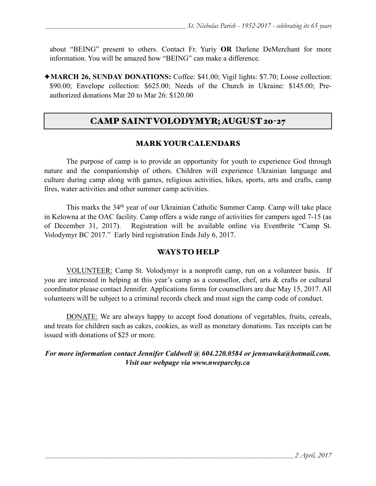about "BEING" present to others. Contact Fr. Yuriy **OR** Darlene DeMerchant for more information. You will be amazed how "BEING" can make a difference.

✦**MARCH 26, SUNDAY DONATIONS:** Coffee: \$41.00; Vigil lights: \$7.70; Loose collection: \$90.00; Envelope collection: \$625.00; Needs of the Church in Ukraine: \$145.00; Preauthorized donations Mar 20 to Mar 26: \$120.00

### CAMP SAINT VOLODYMYR; AUGUST 20-27

#### MARK YOUR CALENDARS

 The purpose of camp is to provide an opportunity for youth to experience God through nature and the companionship of others. Children will experience Ukrainian language and culture during camp along with games, religious activities, hikes, sports, arts and crafts, camp fires, water activities and other summer camp activities.

 This marks the 34th year of our Ukrainian Catholic Summer Camp. Camp will take place in Kelowna at the OAC facility. Camp offers a wide range of activities for campers aged 7-15 (as of December 31, 2017). Registration will be available online via Eventbrite "Camp St. Volodymyr BC 2017." Early bird registration Ends July 6, 2017.

#### WAYS TO HELP

VOLUNTEER: Camp St. Volodymyr is a nonprofit camp, run on a volunteer basis. If you are interested in helping at this year's camp as a counsellor, chef, arts & crafts or cultural coordinator please contact Jennifer. Applications forms for counsellors are due May 15, 2017. All volunteers will be subject to a criminal records check and must sign the camp code of conduct.

DONATE: We are always happy to accept food donations of vegetables, fruits, cereals, and treats for children such as cakes, cookies, as well as monetary donations. Tax receipts can be issued with donations of \$25 or more.

#### *For more information contact Jennifer Caldwell @ 604.220.0584 or [jennsawka@hotmail.com.](mailto:jennsawka@hotmail.com) Visit our webpage via [www.nweparchy.ca](http://www.nweparchy.ca)*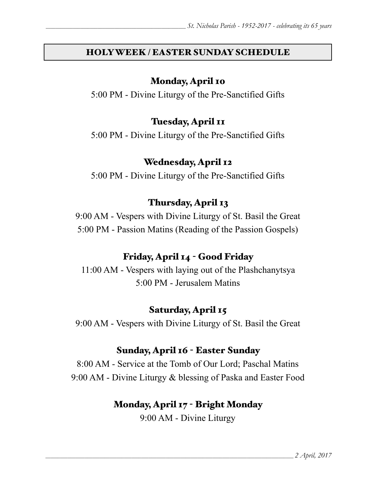## HOLY WEEK / EASTER SUNDAY SCHEDULE

## Monday, April 10

5:00 PM - Divine Liturgy of the Pre-Sanctified Gifts

## Tuesday, April 11

5:00 PM - Divine Liturgy of the Pre-Sanctified Gifts

## Wednesday, April 12

5:00 PM - Divine Liturgy of the Pre-Sanctified Gifts

# Thursday, April 13

9:00 AM - Vespers with Divine Liturgy of St. Basil the Great 5:00 PM - Passion Matins (Reading of the Passion Gospels)

# Friday, April 14 - Good Friday

11:00 AM - Vespers with laying out of the Plashchanytsya 5:00 PM - Jerusalem Matins

# Saturday, April 15

9:00 AM - Vespers with Divine Liturgy of St. Basil the Great

# Sunday, April 16 - Easter Sunday

8:00 AM - Service at the Tomb of Our Lord; Paschal Matins 9:00 AM - Divine Liturgy & blessing of Paska and Easter Food

# Monday, April 17 - Bright Monday

9:00 AM - Divine Liturgy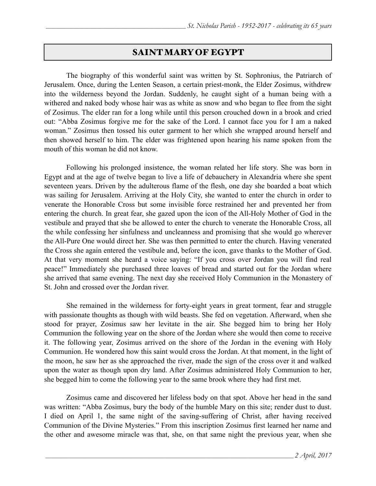### SAINT MARY OF EGYPT

 The biography of this wonderful saint was written by St. Sophronius, the Patriarch of Jerusalem. Once, during the Lenten Season, a certain priest-monk, the Elder Zosimus, withdrew into the wilderness beyond the Jordan. Suddenly, he caught sight of a human being with a withered and naked body whose hair was as white as snow and who began to flee from the sight of Zosimus. The elder ran for a long while until this person crouched down in a brook and cried out: "Abba Zosimus forgive me for the sake of the Lord. I cannot face you for I am a naked woman." Zosimus then tossed his outer garment to her which she wrapped around herself and then showed herself to him. The elder was frightened upon hearing his name spoken from the mouth of this woman he did not know.

 Following his prolonged insistence, the woman related her life story. She was born in Egypt and at the age of twelve began to live a life of debauchery in Alexandria where she spent seventeen years. Driven by the adulterous flame of the flesh, one day she boarded a boat which was sailing for Jerusalem. Arriving at the Holy City, she wanted to enter the church in order to venerate the Honorable Cross but some invisible force restrained her and prevented her from entering the church. In great fear, she gazed upon the icon of the All-Holy Mother of God in the vestibule and prayed that she be allowed to enter the church to venerate the Honorable Cross, all the while confessing her sinfulness and uncleanness and promising that she would go wherever the All-Pure One would direct her. She was then permitted to enter the church. Having venerated the Cross she again entered the vestibule and, before the icon, gave thanks to the Mother of God. At that very moment she heard a voice saying: "If you cross over Jordan you will find real peace!" Immediately she purchased three loaves of bread and started out for the Jordan where she arrived that same evening. The next day she received Holy Communion in the Monastery of St. John and crossed over the Jordan river.

 She remained in the wilderness for forty-eight years in great torment, fear and struggle with passionate thoughts as though with wild beasts. She fed on vegetation. Afterward, when she stood for prayer, Zosimus saw her levitate in the air. She begged him to bring her Holy Communion the following year on the shore of the Jordan where she would then come to receive it. The following year, Zosimus arrived on the shore of the Jordan in the evening with Holy Communion. He wondered how this saint would cross the Jordan. At that moment, in the light of the moon, he saw her as she approached the river, made the sign of the cross over it and walked upon the water as though upon dry land. After Zosimus administered Holy Communion to her, she begged him to come the following year to the same brook where they had first met.

 Zosimus came and discovered her lifeless body on that spot. Above her head in the sand was written: "Abba Zosimus, bury the body of the humble Mary on this site; render dust to dust. I died on April 1, the same night of the saving-suffering of Christ, after having received Communion of the Divine Mysteries." From this inscription Zosimus first learned her name and the other and awesome miracle was that, she, on that same night the previous year, when she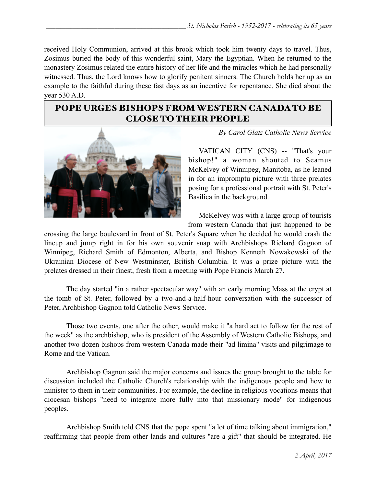received Holy Communion, arrived at this brook which took him twenty days to travel. Thus, Zosimus buried the body of this wonderful saint, Mary the Egyptian. When he returned to the monastery Zosimus related the entire history of her life and the miracles which he had personally witnessed. Thus, the Lord knows how to glorify penitent sinners. The Church holds her up as an example to the faithful during these fast days as an incentive for repentance. She died about the year 530 A.D.

### POPE URGES BISHOPS FROM WESTERN CANADA TO BE CLOSE TO THEIR PEOPLE



*By Carol Glatz Catholic News Service*

 VATICAN CITY (CNS) -- "That's your bishop!" a woman shouted to Seamus McKelvey of Winnipeg, Manitoba, as he leaned in for an impromptu picture with three prelates posing for a professional portrait with St. Peter's Basilica in the background.

 McKelvey was with a large group of tourists from western Canada that just happened to be

crossing the large boulevard in front of St. Peter's Square when he decided he would crash the lineup and jump right in for his own souvenir snap with Archbishops Richard Gagnon of Winnipeg, Richard Smith of Edmonton, Alberta, and Bishop Kenneth Nowakowski of the Ukrainian Diocese of New Westminster, British Columbia. It was a prize picture with the prelates dressed in their finest, fresh from a meeting with Pope Francis March 27.

 The day started "in a rather spectacular way" with an early morning Mass at the crypt at the tomb of St. Peter, followed by a two-and-a-half-hour conversation with the successor of Peter, Archbishop Gagnon told Catholic News Service.

 Those two events, one after the other, would make it "a hard act to follow for the rest of the week" as the archbishop, who is president of the Assembly of Western Catholic Bishops, and another two dozen bishops from western Canada made their "ad limina" visits and pilgrimage to Rome and the Vatican.

 Archbishop Gagnon said the major concerns and issues the group brought to the table for discussion included the Catholic Church's relationship with the indigenous people and how to minister to them in their communities. For example, the decline in religious vocations means that diocesan bishops "need to integrate more fully into that missionary mode" for indigenous peoples.

 Archbishop Smith told CNS that the pope spent "a lot of time talking about immigration," reaffirming that people from other lands and cultures "are a gift" that should be integrated. He